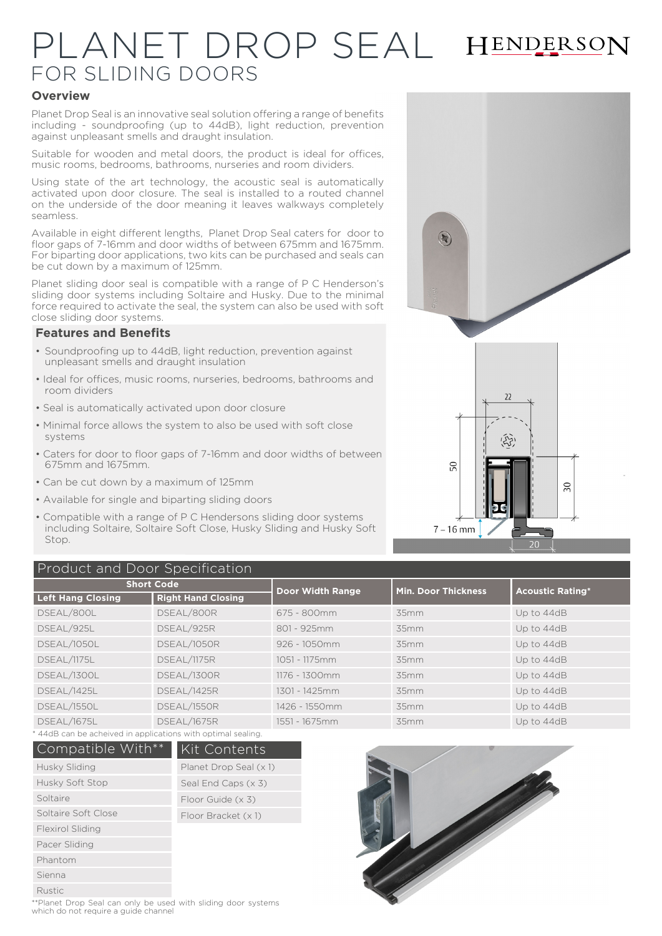# PLANET DROP SEAL HENDERSON FOR SLIDING DOORS

#### **Overview**

Planet Drop Seal is an innovative seal solution offering a range of benefits including - soundproofing (up to 44dB), light reduction, prevention against unpleasant smells and draught insulation.

Suitable for wooden and metal doors, the product is ideal for offices, music rooms, bedrooms, bathrooms, nurseries and room dividers.

Using state of the art technology, the acoustic seal is automatically activated upon door closure. The seal is installed to a routed channel on the underside of the door meaning it leaves walkways completely seamless.

Available in eight different lengths, Planet Drop Seal caters for door to floor gaps of 7-16mm and door widths of between 675mm and 1675mm. For biparting door applications, two kits can be purchased and seals can be cut down by a maximum of 125mm.

Planet sliding door seal is compatible with a range of P C Henderson's sliding door systems including Soltaire and Husky. Due to the minimal force required to activate the seal, the system can also be used with soft close sliding door systems.

#### **Features and Benefits**

- Soundproofing up to 44dB, light reduction, prevention against unpleasant smells and draught insulation
- Ideal for offices, music rooms, nurseries, bedrooms, bathrooms and room dividers
- Seal is automatically activated upon door closure
- Minimal force allows the system to also be used with soft close systems
- Caters for door to floor gaps of 7-16mm and door widths of between 675mm and 1675mm.
- Can be cut down by a maximum of 125mm
- Available for single and biparting sliding doors
- Compatible with a range of P C Hendersons sliding door systems including Soltaire, Soltaire Soft Close, Husky Sliding and Husky Soft Stop.



### Product and Door Specification

| Thousand Door opcompation |                           |                         |                            |                         |  |
|---------------------------|---------------------------|-------------------------|----------------------------|-------------------------|--|
| <b>Short Code</b>         |                           | <b>Door Width Range</b> | <b>Min. Door Thickness</b> | <b>Acoustic Rating*</b> |  |
| <b>Left Hang Closing</b>  | <b>Right Hand Closing</b> |                         |                            |                         |  |
| DSEAL/800L                | DSEAL/800R                | 675 - 800mm             | 35mm                       | Up to 44dB              |  |
| DSEAL/925L                | DSEAL/925R                | 801 - 925mm             | 35mm                       | Up to 44dB              |  |
| DSEAL/1050L               | DSEAL/1050R               | 926 - 1050mm            | 35mm                       | Up to 44dB              |  |
| DSEAL/1175L               | DSEAL/1175R               | 1051 - 1175mm           | 35mm                       | Up to 44dB              |  |
| DSEAL/1300L               | DSEAL/1300R               | 1176 - 1300mm           | 35mm                       | Up to 44dB              |  |
| DSEAL/1425L               | DSEAL/1425R               | 1301 - 1425mm           | 35mm                       | Up to 44dB              |  |
| DSEAL/1550L               | DSEAL/1550R               | 1426 - 1550mm           | 35mm                       | Up to 44dB              |  |
| DSEAL/1675L               | DSEAL/1675R               | 1551 - 1675mm           | 35mm                       | Up to 44dB              |  |

\* 44dB can be acheived in applications with optimal sealing.

| Compatible With**   | <b>Kit Contents</b>    |  |
|---------------------|------------------------|--|
| Husky Sliding       | Planet Drop Seal (x 1) |  |
| Husky Soft Stop     | Seal End Caps (x 3)    |  |
| Soltaire            | Floor Guide (x 3)      |  |
| Soltaire Soft Close | Floor Bracket (x 1)    |  |
| Flexirol Sliding    |                        |  |
| Pacer Sliding       |                        |  |
| Phantom             |                        |  |
| Sienna              |                        |  |
| <b>Rustic</b>       |                        |  |



\*\*Planet Drop Seal can only be used with sliding door systems which do not require a guide channel